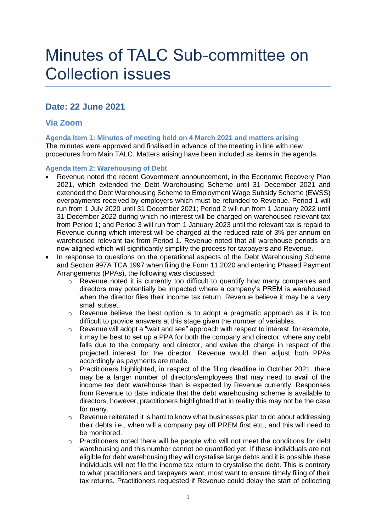# Minutes of TALC Sub-committee on Collection issues

# **Date: 22 June 2021**

## **Via Zoom**

**Agenda Item 1: Minutes of meeting held on 4 March 2021 and matters arising** The minutes were approved and finalised in advance of the meeting in line with new procedures from Main TALC. Matters arising have been included as items in the agenda.

## **Agenda Item 2: Warehousing of Debt**

- Revenue noted the recent Government announcement, in the Economic Recovery Plan 2021, which extended the Debt Warehousing Scheme until 31 December 2021 and extended the Debt Warehousing Scheme to Employment Wage Subsidy Scheme (EWSS) overpayments received by employers which must be refunded to Revenue. Period 1 will run from 1 July 2020 until 31 December 2021; Period 2 will run from 1 January 2022 until 31 December 2022 during which no interest will be charged on warehoused relevant tax from Period 1; and Period 3 will run from 1 January 2023 until the relevant tax is repaid to Revenue during which interest will be charged at the reduced rate of 3% per annum on warehoused relevant tax from Period 1. Revenue noted that all warehouse periods are now aligned which will significantly simplify the process for taxpayers and Revenue.
- In response to questions on the operational aspects of the Debt Warehousing Scheme and Section 997A TCA 1997 when filing the Form 11 2020 and entering Phased Payment Arrangements (PPAs), the following was discussed:
	- o Revenue noted it is currently too difficult to quantify how many companies and directors may potentially be impacted where a company's PREM is warehoused when the director files their income tax return. Revenue believe it may be a very small subset.
	- o Revenue believe the best option is to adopt a pragmatic approach as it is too difficult to provide answers at this stage given the number of variables.
	- o Revenue will adopt a "wait and see" approach with respect to interest, for example, it may be best to set up a PPA for both the company and director, where any debt falls due to the company and director, and waive the charge in respect of the projected interest for the director. Revenue would then adjust both PPAs accordingly as payments are made.
	- o Practitioners highlighted, in respect of the filing deadline in October 2021, there may be a larger number of directors/employees that may need to avail of the income tax debt warehouse than is expected by Revenue currently. Responses from Revenue to date indicate that the debt warehousing scheme is available to directors, however, practitioners highlighted that in reality this may not be the case for many.
	- $\circ$  Revenue reiterated it is hard to know what businesses plan to do about addressing their debts i.e., when will a company pay off PREM first etc., and this will need to be monitored.
	- $\circ$  Practitioners noted there will be people who will not meet the conditions for debt warehousing and this number cannot be quantified yet. If these individuals are not eligible for debt warehousing they will crystalise large debts and it is possible these individuals will not file the income tax return to crystalise the debt. This is contrary to what practitioners and taxpayers want, most want to ensure timely filing of their tax returns. Practitioners requested if Revenue could delay the start of collecting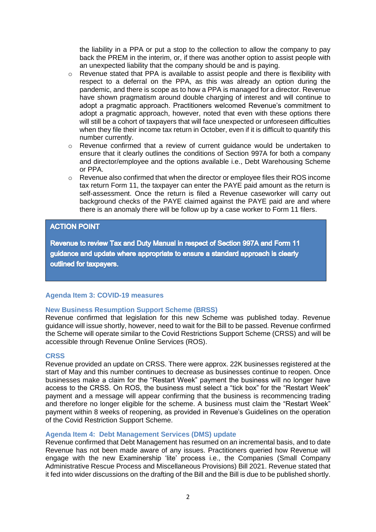the liability in a PPA or put a stop to the collection to allow the company to pay back the PREM in the interim, or, if there was another option to assist people with an unexpected liability that the company should be and is paying.

- o Revenue stated that PPA is available to assist people and there is flexibility with respect to a deferral on the PPA, as this was already an option during the pandemic, and there is scope as to how a PPA is managed for a director. Revenue have shown pragmatism around double charging of interest and will continue to adopt a pragmatic approach. Practitioners welcomed Revenue's commitment to adopt a pragmatic approach, however, noted that even with these options there will still be a cohort of taxpayers that will face unexpected or unforeseen difficulties when they file their income tax return in October, even if it is difficult to quantify this number currently.
- o Revenue confirmed that a review of current guidance would be undertaken to ensure that it clearly outlines the conditions of Section 997A for both a company and director/employee and the options available i.e., Debt Warehousing Scheme or PPA.
- $\circ$  Revenue also confirmed that when the director or employee files their ROS income tax return Form 11, the taxpayer can enter the PAYE paid amount as the return is self-assessment. Once the return is filed a Revenue caseworker will carry out background checks of the PAYE claimed against the PAYE paid are and where there is an anomaly there will be follow up by a case worker to Form 11 filers.

## **ACTION POINT**

Revenue to review Tax and Duty Manual in respect of Section 997A and Form 11 guidance and update where appropriate to ensure a standard approach is clearly outlined for taxpayers.

## **Agenda Item 3: COVID-19 measures**

## **New Business Resumption Support Scheme (BRSS)**

Revenue confirmed that legislation for this new Scheme was published today. Revenue guidance will issue shortly, however, need to wait for the Bill to be passed. Revenue confirmed the Scheme will operate similar to the Covid Restrictions Support Scheme (CRSS) and will be accessible through Revenue Online Services (ROS).

#### **CRSS**

Revenue provided an update on CRSS. There were approx. 22K businesses registered at the start of May and this number continues to decrease as businesses continue to reopen. Once businesses make a claim for the "Restart Week" payment the business will no longer have access to the CRSS. On ROS, the business must select a "tick box" for the "Restart Week" payment and a message will appear confirming that the business is recommencing trading and therefore no longer eligible for the scheme. A business must claim the "Restart Week" payment within 8 weeks of reopening, as provided in Revenue's Guidelines on the operation of the Covid Restriction Support Scheme.

#### **Agenda Item 4: Debt Management Services (DMS) update**

Revenue confirmed that Debt Management has resumed on an incremental basis, and to date Revenue has not been made aware of any issues. Practitioners queried how Revenue will engage with the new Examinership 'lite' process i.e., the Companies (Small Company Administrative Rescue Process and Miscellaneous Provisions) Bill 2021. Revenue stated that it fed into wider discussions on the drafting of the Bill and the Bill is due to be published shortly.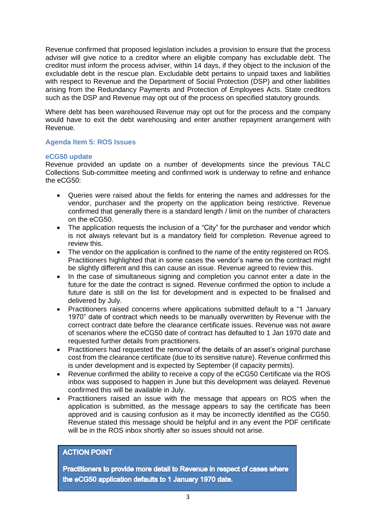Revenue confirmed that proposed legislation includes a provision to ensure that the process adviser will give notice to a creditor where an eligible company has excludable debt. The creditor must inform the process adviser, within 14 days, if they object to the inclusion of the excludable debt in the rescue plan. Excludable debt pertains to unpaid taxes and liabilities with respect to Revenue and the Department of Social Protection (DSP) and other liabilities arising from the Redundancy Payments and Protection of Employees Acts. State creditors such as the DSP and Revenue may opt out of the process on specified statutory grounds.

Where debt has been warehoused Revenue may opt out for the process and the company would have to exit the debt warehousing and enter another repayment arrangement with Revenue.

## **Agenda Item 5: ROS Issues**

## **eCG50 update**

Revenue provided an update on a number of developments since the previous TALC Collections Sub-committee meeting and confirmed work is underway to refine and enhance the eCG50:

- Queries were raised about the fields for entering the names and addresses for the vendor, purchaser and the property on the application being restrictive. Revenue confirmed that generally there is a standard length / limit on the number of characters on the eCG50.
- The application requests the inclusion of a "City" for the purchaser and vendor which is not always relevant but is a mandatory field for completion. Revenue agreed to review this.
- The vendor on the application is confined to the name of the entity registered on ROS. Practitioners highlighted that in some cases the vendor's name on the contract might be slightly different and this can cause an issue. Revenue agreed to review this.
- In the case of simultaneous signing and completion you cannot enter a date in the future for the date the contract is signed. Revenue confirmed the option to include a future date is still on the list for development and is expected to be finalised and delivered by July.
- Practitioners raised concerns where applications submitted default to a "1 January 1970" date of contract which needs to be manually overwritten by Revenue with the correct contract date before the clearance certificate issues. Revenue was not aware of scenarios where the eCG50 date of contract has defaulted to 1 Jan 1970 date and requested further details from practitioners.
- Practitioners had requested the removal of the details of an asset's original purchase cost from the clearance certificate (due to its sensitive nature). Revenue confirmed this is under development and is expected by September (if capacity permits).
- Revenue confirmed the ability to receive a copy of the eCG50 Certificate via the ROS inbox was supposed to happen in June but this development was delayed. Revenue confirmed this will be available in July.
- Practitioners raised an issue with the message that appears on ROS when the application is submitted, as the message appears to say the certificate has been approved and is causing confusion as it may be incorrectly identified as the CG50. Revenue stated this message should be helpful and in any event the PDF certificate will be in the ROS inbox shortly after so issues should not arise.

## **ACTION POINT**

Practitioners to provide more detail to Revenue in respect of cases where the eCG50 application defaults to 1 January 1970 date.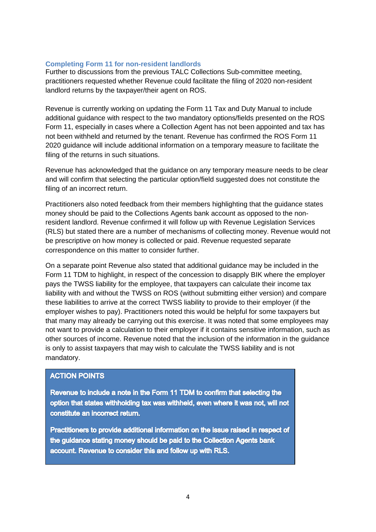## **Completing Form 11 for non-resident landlords**

Further to discussions from the previous TALC Collections Sub-committee meeting, practitioners requested whether Revenue could facilitate the filing of 2020 non-resident landlord returns by the taxpayer/their agent on ROS.

Revenue is currently working on updating the Form 11 Tax and Duty Manual to include additional guidance with respect to the two mandatory options/fields presented on the ROS Form 11, especially in cases where a Collection Agent has not been appointed and tax has not been withheld and returned by the tenant. Revenue has confirmed the ROS Form 11 2020 guidance will include additional information on a temporary measure to facilitate the filing of the returns in such situations.

Revenue has acknowledged that the guidance on any temporary measure needs to be clear and will confirm that selecting the particular option/field suggested does not constitute the filing of an incorrect return.

Practitioners also noted feedback from their members highlighting that the guidance states money should be paid to the Collections Agents bank account as opposed to the nonresident landlord. Revenue confirmed it will follow up with Revenue Legislation Services (RLS) but stated there are a number of mechanisms of collecting money. Revenue would not be prescriptive on how money is collected or paid. Revenue requested separate correspondence on this matter to consider further.

On a separate point Revenue also stated that additional guidance may be included in the Form 11 TDM to highlight, in respect of the concession to disapply BIK where the employer pays the TWSS liability for the employee, that taxpayers can calculate their income tax liability with and without the TWSS on ROS (without submitting either version) and compare these liabilities to arrive at the correct TWSS liability to provide to their employer (if the employer wishes to pay). Practitioners noted this would be helpful for some taxpayers but that many may already be carrying out this exercise. It was noted that some employees may not want to provide a calculation to their employer if it contains sensitive information, such as other sources of income. Revenue noted that the inclusion of the information in the guidance is only to assist taxpayers that may wish to calculate the TWSS liability and is not mandatory.

## **ACTION POINTS**

Revenue to include a note in the Form 11 TDM to confirm that selecting the option that states withholding tax was withheld, even where it was not, will not constitute an incorrect return.

Practitioners to provide additional information on the issue raised in respect of the guidance stating money should be paid to the Collection Agents bank account. Revenue to consider this and follow up with RLS.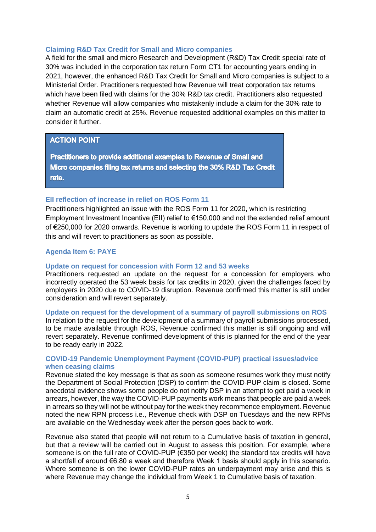#### **Claiming R&D Tax Credit for Small and Micro companies**

A field for the small and micro Research and Development (R&D) Tax Credit special rate of 30% was included in the corporation tax return Form CT1 for accounting years ending in 2021, however, the enhanced R&D Tax Credit for Small and Micro companies is subject to a Ministerial Order. Practitioners requested how Revenue will treat corporation tax returns which have been filed with claims for the 30% R&D tax credit. Practitioners also requested whether Revenue will allow companies who mistakenly include a claim for the 30% rate to claim an automatic credit at 25%. Revenue requested additional examples on this matter to consider it further.

#### **ACTION POINT**

Practitioners to provide additional examples to Revenue of Small and Micro companies filing tax returns and selecting the 30% R&D Tax Credit rate.

#### **EII reflection of increase in relief on ROS Form 11**

Practitioners highlighted an issue with the ROS Form 11 for 2020, which is restricting Employment Investment Incentive (EII) relief to €150,000 and not the extended relief amount of €250,000 for 2020 onwards. Revenue is working to update the ROS Form 11 in respect of this and will revert to practitioners as soon as possible.

#### **Agenda Item 6: PAYE**

## **Update on request for concession with Form 12 and 53 weeks**

Practitioners requested an update on the request for a concession for employers who incorrectly operated the 53 week basis for tax credits in 2020, given the challenges faced by employers in 2020 due to COVID-19 disruption. Revenue confirmed this matter is still under consideration and will revert separately.

#### **Update on request for the development of a summary of payroll submissions on ROS**

In relation to the request for the development of a summary of payroll submissions processed, to be made available through ROS, Revenue confirmed this matter is still ongoing and will revert separately. Revenue confirmed development of this is planned for the end of the year to be ready early in 2022.

## **COVID-19 Pandemic Unemployment Payment (COVID-PUP) practical issues/advice when ceasing claims**

Revenue stated the key message is that as soon as someone resumes work they must notify the Department of Social Protection (DSP) to confirm the COVID-PUP claim is closed. Some anecdotal evidence shows some people do not notify DSP in an attempt to get paid a week in arrears, however, the way the COVID-PUP payments work means that people are paid a week in arrears so they will not be without pay for the week they recommence employment. Revenue noted the new RPN process i.e., Revenue check with DSP on Tuesdays and the new RPNs are available on the Wednesday week after the person goes back to work.

Revenue also stated that people will not return to a Cumulative basis of taxation in general, but that a review will be carried out in August to assess this position. For example, where someone is on the full rate of COVID-PUP (€350 per week) the standard tax credits will have a shortfall of around €6.80 a week and therefore Week 1 basis should apply in this scenario. Where someone is on the lower COVID-PUP rates an underpayment may arise and this is where Revenue may change the individual from Week 1 to Cumulative basis of taxation.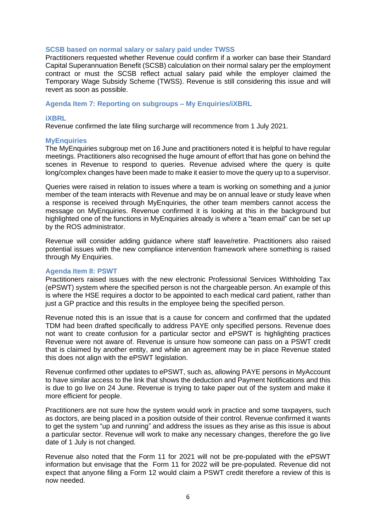#### **SCSB based on normal salary or salary paid under TWSS**

Practitioners requested whether Revenue could confirm if a worker can base their Standard Capital Superannuation Benefit (SCSB) calculation on their normal salary per the employment contract or must the SCSB reflect actual salary paid while the employer claimed the Temporary Wage Subsidy Scheme (TWSS). Revenue is still considering this issue and will revert as soon as possible.

**Agenda Item 7: Reporting on subgroups – My Enquiries/iXBRL**

#### **iXBRL**

Revenue confirmed the late filing surcharge will recommence from 1 July 2021.

#### **MyEnquiries**

The MyEnquiries subgroup met on 16 June and practitioners noted it is helpful to have regular meetings. Practitioners also recognised the huge amount of effort that has gone on behind the scenes in Revenue to respond to queries. Revenue advised where the query is quite long/complex changes have been made to make it easier to move the query up to a supervisor.

Queries were raised in relation to issues where a team is working on something and a junior member of the team interacts with Revenue and may be on annual leave or study leave when a response is received through MyEnquiries, the other team members cannot access the message on MyEnquiries. Revenue confirmed it is looking at this in the background but highlighted one of the functions in MyEnquiries already is where a "team email" can be set up by the ROS administrator.

Revenue will consider adding guidance where staff leave/retire. Practitioners also raised potential issues with the new compliance intervention framework where something is raised through My Enquiries.

#### **Agenda Item 8: PSWT**

Practitioners raised issues with the new electronic Professional Services Withholding Tax (ePSWT) system where the specified person is not the chargeable person. An example of this is where the HSE requires a doctor to be appointed to each medical card patient, rather than just a GP practice and this results in the employee being the specified person.

Revenue noted this is an issue that is a cause for concern and confirmed that the updated TDM had been drafted specifically to address PAYE only specified persons. Revenue does not want to create confusion for a particular sector and ePSWT is highlighting practices Revenue were not aware of. Revenue is unsure how someone can pass on a PSWT credit that is claimed by another entity, and while an agreement may be in place Revenue stated this does not align with the ePSWT legislation.

Revenue confirmed other updates to ePSWT, such as, allowing PAYE persons in MyAccount to have similar access to the link that shows the deduction and Payment Notifications and this is due to go live on 24 June. Revenue is trying to take paper out of the system and make it more efficient for people.

Practitioners are not sure how the system would work in practice and some taxpayers, such as doctors, are being placed in a position outside of their control. Revenue confirmed it wants to get the system "up and running" and address the issues as they arise as this issue is about a particular sector. Revenue will work to make any necessary changes, therefore the go live date of 1 July is not changed.

Revenue also noted that the Form 11 for 2021 will not be pre-populated with the ePSWT information but envisage that the Form 11 for 2022 will be pre-populated. Revenue did not expect that anyone filing a Form 12 would claim a PSWT credit therefore a review of this is now needed.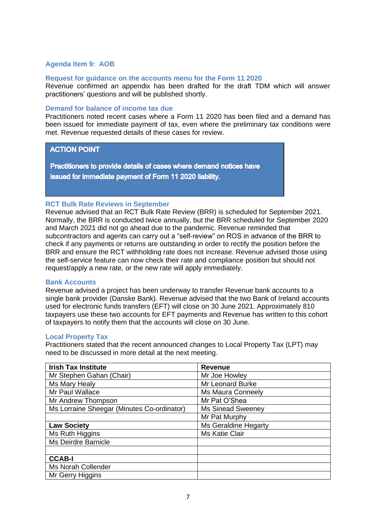## **Agenda Item 9: AOB**

#### **Request for guidance on the accounts menu for the Form 11 2020**

Revenue confirmed an appendix has been drafted for the draft TDM which will answer practitioners' questions and will be published shortly.

## **Demand for balance of income tax due**

Practitioners noted recent cases where a Form 11 2020 has been filed and a demand has been issued for immediate payment of tax, even where the preliminary tax conditions were met. Revenue requested details of these cases for review.

## **ACTION POINT**

Practitioners to provide details of cases where demand notices have issued for immediate payment of Form 11 2020 liability.

#### **RCT Bulk Rate Reviews in September**

Revenue advised that an RCT Bulk Rate Review (BRR) is scheduled for September 2021. Normally, the BRR is conducted twice annually, but the BRR scheduled for September 2020 and March 2021 did not go ahead due to the pandemic. Revenue reminded that subcontractors and agents can carry out a "self-review" on ROS in advance of the BRR to check if any payments or returns are outstanding in order to rectify the position before the BRR and ensure the RCT withholding rate does not increase. Revenue advised those using the self-service feature can now check their rate and compliance position but should not request/apply a new rate, or the new rate will apply immediately.

#### **Bank Accounts**

Revenue advised a project has been underway to transfer Revenue bank accounts to a single bank provider (Danske Bank). Revenue advised that the two Bank of Ireland accounts used for electronic funds transfers (EFT) will close on 30 June 2021. Approximately 810 taxpayers use these two accounts for EFT payments and Revenue has written to this cohort of taxpayers to notify them that the accounts will close on 30 June.

#### **Local Property Tax**

Practitioners stated that the recent announced changes to Local Property Tax (LPT) may need to be discussed in more detail at the next meeting.

| <b>Irish Tax Institute</b>                 | <b>Revenue</b>           |
|--------------------------------------------|--------------------------|
| Mr Stephen Gahan (Chair)                   | Mr Joe Howley            |
| Ms Mary Healy                              | <b>Mr Leonard Burke</b>  |
| Mr Paul Wallace                            | Ms Maura Conneely        |
| Mr Andrew Thompson                         | Mr Pat O'Shea            |
| Ms Lorraine Sheegar (Minutes Co-ordinator) | <b>Ms Sinead Sweeney</b> |
|                                            | Mr Pat Murphy            |
| <b>Law Society</b>                         | Ms Geraldine Hegarty     |
| Ms Ruth Higgins                            | Ms Katie Clair           |
| Ms Deirdre Barnicle                        |                          |
|                                            |                          |
| <b>CCAB-I</b>                              |                          |
| Ms Norah Collender                         |                          |
| Mr Gerry Higgins                           |                          |